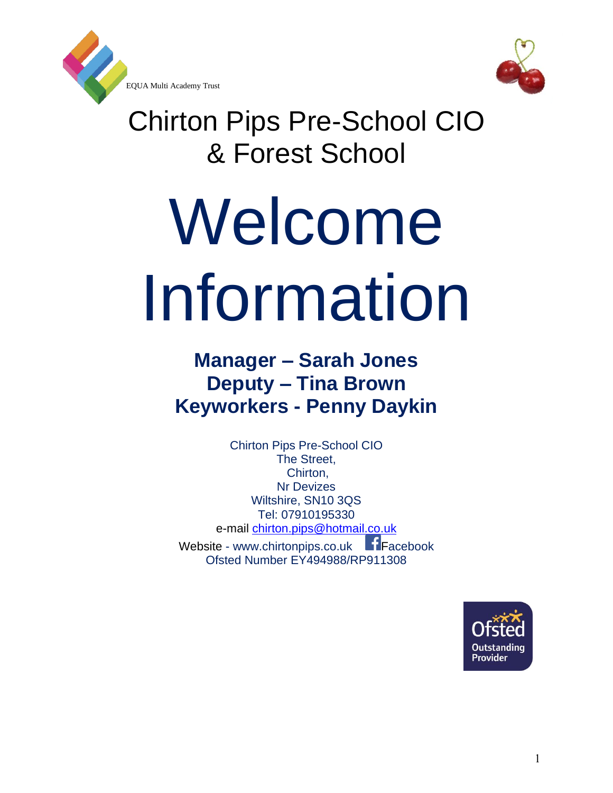

EQUA Multi Academy Trust



Chirton Pips Pre-School CIO & Forest School

# Welcome Information

# **Manager – Sarah Jones Deputy – Tina Brown Keyworkers - Penny Daykin**

Chirton Pips Pre-School CIO The Street, Chirton, Nr Devizes Wiltshire, SN10 3QS Tel: 07910195330 e-mail [chirton.pips@hotmail.co.uk](mailto:Chirton.pips@hotmail.co.uk) 

Website - www.chirtonpips.co.uk Fracebook Ofsted Number EY494988/RP911308

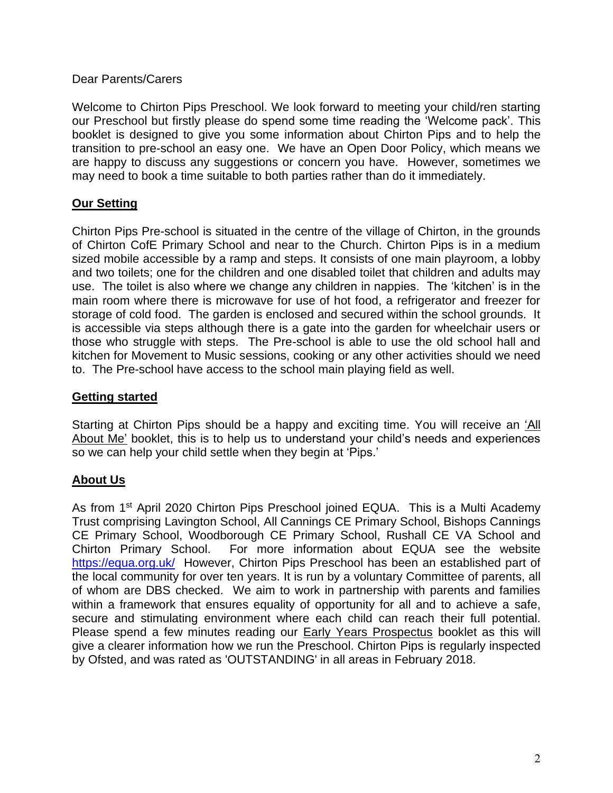### Dear Parents/Carers

Welcome to Chirton Pips Preschool. We look forward to meeting your child/ren starting our Preschool but firstly please do spend some time reading the 'Welcome pack'. This booklet is designed to give you some information about Chirton Pips and to help the transition to pre-school an easy one. We have an Open Door Policy, which means we are happy to discuss any suggestions or concern you have. However, sometimes we may need to book a time suitable to both parties rather than do it immediately.

# **Our Setting**

Chirton Pips Pre-school is situated in the centre of the village of Chirton, in the grounds of Chirton CofE Primary School and near to the Church. Chirton Pips is in a medium sized mobile accessible by a ramp and steps. It consists of one main playroom, a lobby and two toilets; one for the children and one disabled toilet that children and adults may use. The toilet is also where we change any children in nappies. The 'kitchen' is in the main room where there is microwave for use of hot food, a refrigerator and freezer for storage of cold food. The garden is enclosed and secured within the school grounds. It is accessible via steps although there is a gate into the garden for wheelchair users or those who struggle with steps. The Pre-school is able to use the old school hall and kitchen for Movement to Music sessions, cooking or any other activities should we need to. The Pre-school have access to the school main playing field as well.

### **Getting started**

Starting at Chirton Pips should be a happy and exciting time. You will receive an 'All About Me' booklet, this is to help us to understand your child's needs and experiences so we can help your child settle when they begin at 'Pips.'

### **About Us**

As from 1<sup>st</sup> April 2020 Chirton Pips Preschool joined EQUA. This is a Multi Academy Trust comprising Lavington School, All Cannings CE Primary School, Bishops Cannings CE Primary School, Woodborough CE Primary School, Rushall CE VA School and Chirton Primary School. For more information about EQUA see the website <https://equa.org.uk/>However, Chirton Pips Preschool has been an established part of the local community for over ten years. It is run by a voluntary Committee of parents, all of whom are DBS checked. We aim to work in partnership with parents and families within a framework that ensures equality of opportunity for all and to achieve a safe, secure and stimulating environment where each child can reach their full potential. Please spend a few minutes reading our **Early Years Prospectus** booklet as this will give a clearer information how we run the Preschool. Chirton Pips is regularly inspected by Ofsted, and was rated as 'OUTSTANDING' in all areas in February 2018.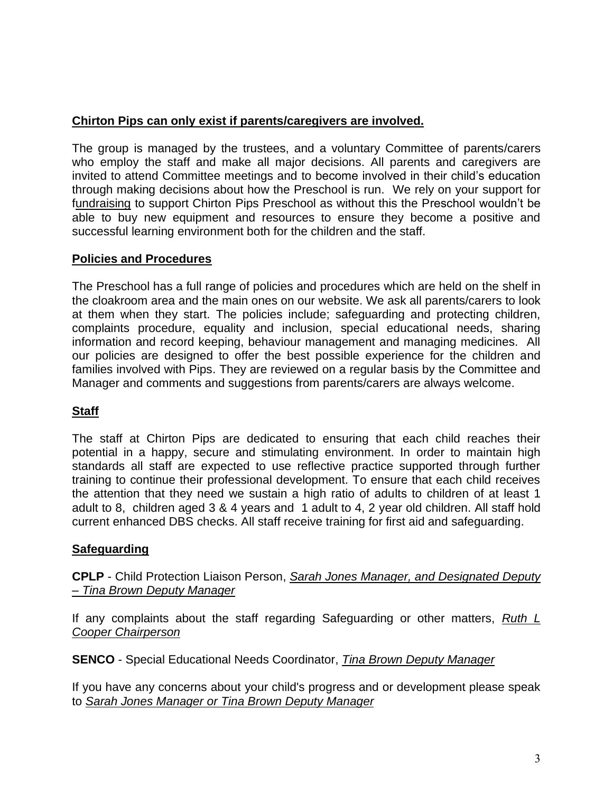# **Chirton Pips can only exist if parents/caregivers are involved.**

The group is managed by the trustees, and a voluntary Committee of parents/carers who employ the staff and make all major decisions. All parents and caregivers are invited to attend Committee meetings and to become involved in their child's education through making decisions about how the Preschool is run. We rely on your support for fundraising to support Chirton Pips Preschool as without this the Preschool wouldn't be able to buy new equipment and resources to ensure they become a positive and successful learning environment both for the children and the staff.

# **Policies and Procedures**

The Preschool has a full range of policies and procedures which are held on the shelf in the cloakroom area and the main ones on our website. We ask all parents/carers to look at them when they start. The policies include; safeguarding and protecting children, complaints procedure, equality and inclusion, special educational needs, sharing information and record keeping, behaviour management and managing medicines. All our policies are designed to offer the best possible experience for the children and families involved with Pips. They are reviewed on a regular basis by the Committee and Manager and comments and suggestions from parents/carers are always welcome.

# **Staff**

The staff at Chirton Pips are dedicated to ensuring that each child reaches their potential in a happy, secure and stimulating environment. In order to maintain high standards all staff are expected to use reflective practice supported through further training to continue their professional development. To ensure that each child receives the attention that they need we sustain a high ratio of adults to children of at least 1 adult to 8, children aged 3 & 4 years and 1 adult to 4, 2 year old children. All staff hold current enhanced DBS checks. All staff receive training for first aid and safeguarding.

# **Safeguarding**

**CPLP** - Child Protection Liaison Person, *Sarah Jones Manager, and Designated Deputy – Tina Brown Deputy Manager*

If any complaints about the staff regarding Safeguarding or other matters, *Ruth L Cooper Chairperson*

**SENCO** - Special Educational Needs Coordinator, *Tina Brown Deputy Manager*

If you have any concerns about your child's progress and or development please speak to *Sarah Jones Manager or Tina Brown Deputy Manager*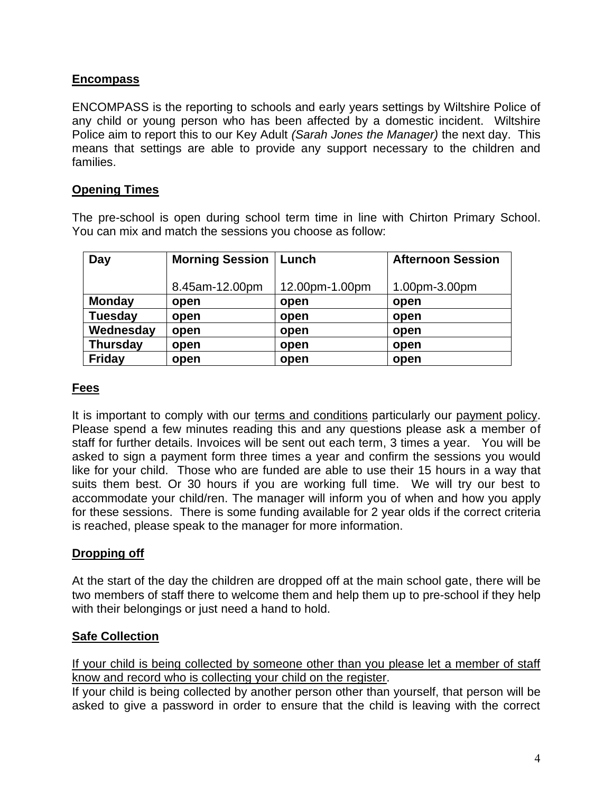# **Encompass**

ENCOMPASS is the reporting to schools and early years settings by Wiltshire Police of any child or young person who has been affected by a domestic incident. Wiltshire Police aim to report this to our Key Adult *(Sarah Jones the Manager)* the next day. This means that settings are able to provide any support necessary to the children and families.

# **Opening Times**

The pre-school is open during school term time in line with Chirton Primary School. You can mix and match the sessions you choose as follow:

| Day             | <b>Morning Session</b> | l Lunch        | <b>Afternoon Session</b> |
|-----------------|------------------------|----------------|--------------------------|
|                 |                        |                |                          |
|                 | 8.45am-12.00pm         | 12.00pm-1.00pm | 1.00pm-3.00pm            |
| <b>Monday</b>   | open                   | open           | open                     |
| <b>Tuesday</b>  | open                   | open           | open                     |
| Wednesday       | open                   | open           | open                     |
| <b>Thursday</b> | open                   | open           | open                     |
| <b>Friday</b>   | open                   | open           | open                     |

# **Fees**

It is important to comply with our terms and conditions particularly our payment policy. Please spend a few minutes reading this and any questions please ask a member of staff for further details. Invoices will be sent out each term, 3 times a year. You will be asked to sign a payment form three times a year and confirm the sessions you would like for your child. Those who are funded are able to use their 15 hours in a way that suits them best. Or 30 hours if you are working full time. We will try our best to accommodate your child/ren. The manager will inform you of when and how you apply for these sessions. There is some funding available for 2 year olds if the correct criteria is reached, please speak to the manager for more information.

### **Dropping off**

At the start of the day the children are dropped off at the main school gate, there will be two members of staff there to welcome them and help them up to pre-school if they help with their belongings or just need a hand to hold.

### **Safe Collection**

If your child is being collected by someone other than you please let a member of staff know and record who is collecting your child on the register.

If your child is being collected by another person other than yourself, that person will be asked to give a password in order to ensure that the child is leaving with the correct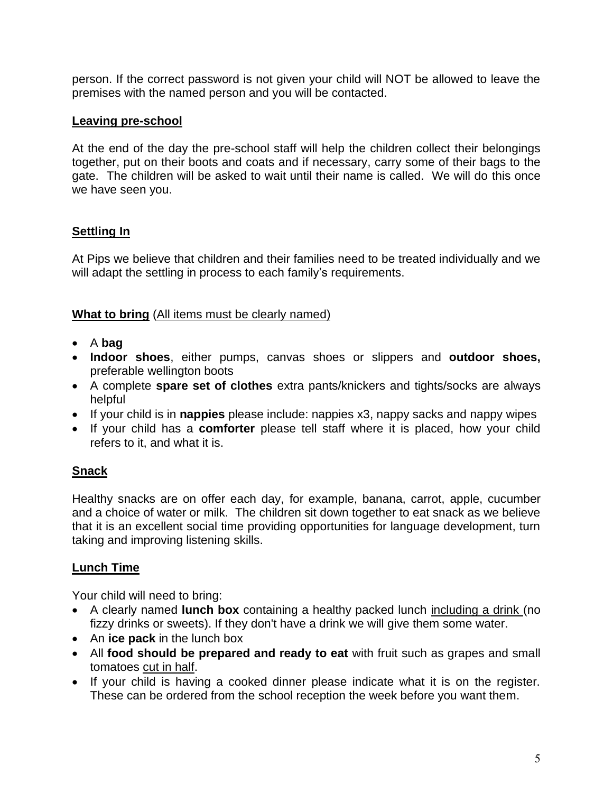person. If the correct password is not given your child will NOT be allowed to leave the premises with the named person and you will be contacted.

# **Leaving pre-school**

At the end of the day the pre-school staff will help the children collect their belongings together, put on their boots and coats and if necessary, carry some of their bags to the gate. The children will be asked to wait until their name is called. We will do this once we have seen you.

# **Settling In**

At Pips we believe that children and their families need to be treated individually and we will adapt the settling in process to each family's requirements.

# **What to bring** (All items must be clearly named)

- A **bag**
- **Indoor shoes**, either pumps, canvas shoes or slippers and **outdoor shoes,** preferable wellington boots
- A complete **spare set of clothes** extra pants/knickers and tights/socks are always helpful
- If your child is in **nappies** please include: nappies x3, nappy sacks and nappy wipes
- If your child has a **comforter** please tell staff where it is placed, how your child refers to it, and what it is.

# **Snack**

Healthy snacks are on offer each day, for example, banana, carrot, apple, cucumber and a choice of water or milk. The children sit down together to eat snack as we believe that it is an excellent social time providing opportunities for language development, turn taking and improving listening skills.

# **Lunch Time**

Your child will need to bring:

- A clearly named **lunch box** containing a healthy packed lunch including a drink (no fizzy drinks or sweets). If they don't have a drink we will give them some water.
- An **ice pack** in the lunch box
- All **food should be prepared and ready to eat** with fruit such as grapes and small tomatoes cut in half.
- If your child is having a cooked dinner please indicate what it is on the register. These can be ordered from the school reception the week before you want them.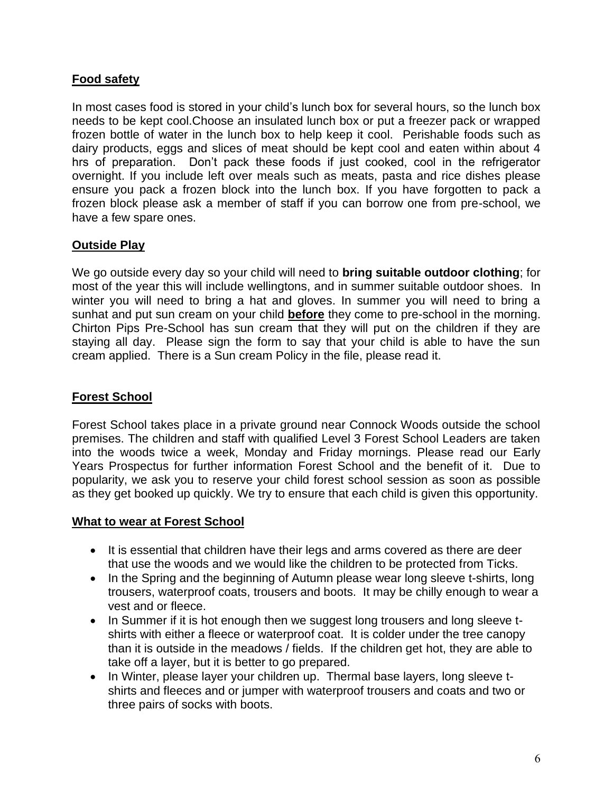# **Food safety**

In most cases food is stored in your child's lunch box for several hours, so the lunch box needs to be kept cool.Choose an insulated lunch box or put a freezer pack or wrapped frozen bottle of water in the lunch box to help keep it cool. Perishable foods such as dairy products, eggs and slices of meat should be kept cool and eaten within about 4 hrs of preparation. Don't pack these foods if just cooked, cool in the refrigerator overnight. If you include left over meals such as meats, pasta and rice dishes please ensure you pack a frozen block into the lunch box. If you have forgotten to pack a frozen block please ask a member of staff if you can borrow one from pre-school, we have a few spare ones.

### **Outside Play**

We go outside every day so your child will need to **bring suitable outdoor clothing**; for most of the year this will include wellingtons, and in summer suitable outdoor shoes. In winter you will need to bring a hat and gloves. In summer you will need to bring a sunhat and put sun cream on your child **before** they come to pre-school in the morning. Chirton Pips Pre-School has sun cream that they will put on the children if they are staying all day. Please sign the form to say that your child is able to have the sun cream applied. There is a Sun cream Policy in the file, please read it.

# **Forest School**

Forest School takes place in a private ground near Connock Woods outside the school premises. The children and staff with qualified Level 3 Forest School Leaders are taken into the woods twice a week, Monday and Friday mornings. Please read our Early Years Prospectus for further information Forest School and the benefit of it. Due to popularity, we ask you to reserve your child forest school session as soon as possible as they get booked up quickly. We try to ensure that each child is given this opportunity.

### **What to wear at Forest School**

- It is essential that children have their legs and arms covered as there are deer that use the woods and we would like the children to be protected from Ticks.
- In the Spring and the beginning of Autumn please wear long sleeve t-shirts, long trousers, waterproof coats, trousers and boots. It may be chilly enough to wear a vest and or fleece.
- In Summer if it is hot enough then we suggest long trousers and long sleeve tshirts with either a fleece or waterproof coat. It is colder under the tree canopy than it is outside in the meadows / fields. If the children get hot, they are able to take off a layer, but it is better to go prepared.
- In Winter, please layer your children up. Thermal base layers, long sleeve tshirts and fleeces and or jumper with waterproof trousers and coats and two or three pairs of socks with boots.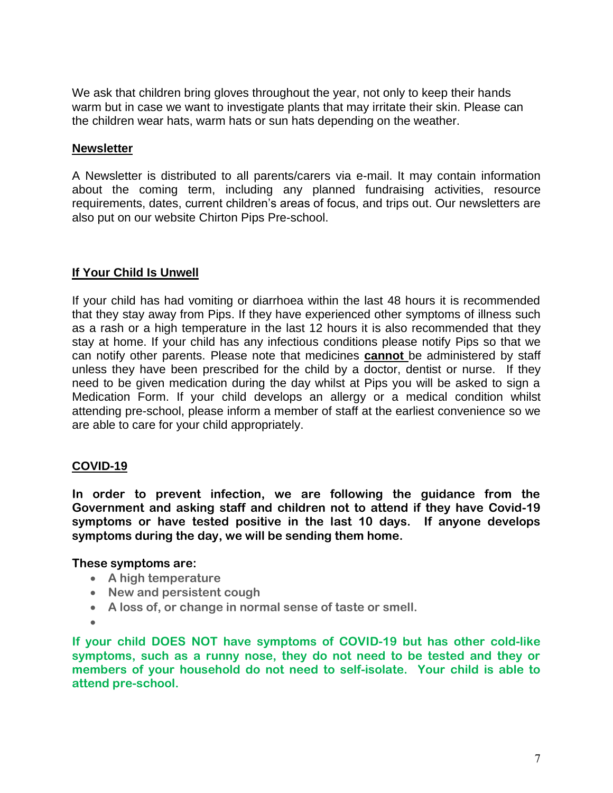We ask that children bring gloves throughout the year, not only to keep their hands warm but in case we want to investigate plants that may irritate their skin. Please can the children wear hats, warm hats or sun hats depending on the weather.

### **Newsletter**

A Newsletter is distributed to all parents/carers via e-mail. It may contain information about the coming term, including any planned fundraising activities, resource requirements, dates, current children's areas of focus, and trips out. Our newsletters are also put on our website Chirton Pips Pre-school.

### **If Your Child Is Unwell**

If your child has had vomiting or diarrhoea within the last 48 hours it is recommended that they stay away from Pips. If they have experienced other symptoms of illness such as a rash or a high temperature in the last 12 hours it is also recommended that they stay at home. If your child has any infectious conditions please notify Pips so that we can notify other parents. Please note that medicines **cannot** be administered by staff unless they have been prescribed for the child by a doctor, dentist or nurse. If they need to be given medication during the day whilst at Pips you will be asked to sign a Medication Form. If your child develops an allergy or a medical condition whilst attending pre-school, please inform a member of staff at the earliest convenience so we are able to care for your child appropriately.

# **COVID-19**

**In order to prevent infection, we are following the guidance from the Government and asking staff and children not to attend if they have Covid-19 symptoms or have tested positive in the last 10 days. If anyone develops symptoms during the day, we will be sending them home.** 

### **These symptoms are:**

- **A high temperature**
- **New and persistent cough**
- **A loss of, or change in normal sense of taste or smell.**
- •

**If your child DOES NOT have symptoms of COVID-19 but has other cold-like symptoms, such as a runny nose, they do not need to be tested and they or members of your household do not need to self-isolate. Your child is able to attend pre-school.**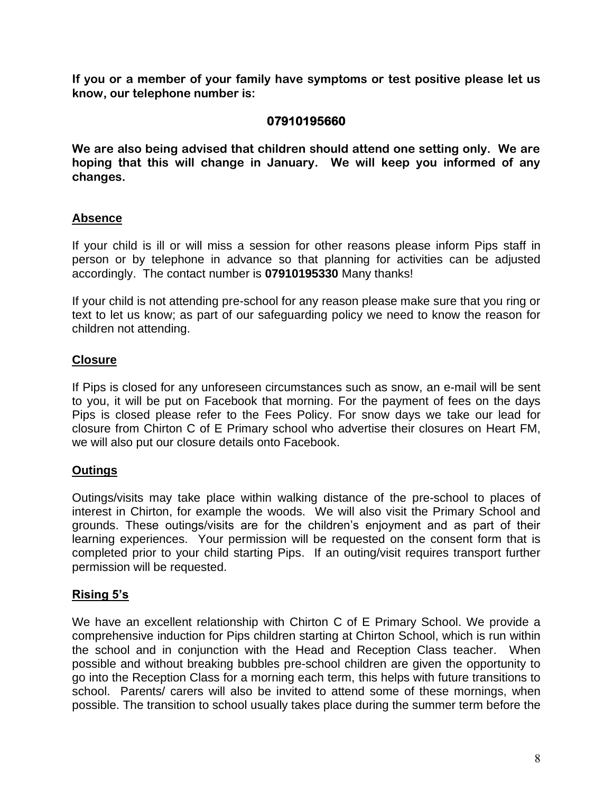**If you or a member of your family have symptoms or test positive please let us know, our telephone number is:** 

# **07910195660**

**We are also being advised that children should attend one setting only. We are hoping that this will change in January. We will keep you informed of any changes.**

### **Absence**

If your child is ill or will miss a session for other reasons please inform Pips staff in person or by telephone in advance so that planning for activities can be adjusted accordingly. The contact number is **07910195330** Many thanks!

If your child is not attending pre-school for any reason please make sure that you ring or text to let us know; as part of our safeguarding policy we need to know the reason for children not attending.

### **Closure**

If Pips is closed for any unforeseen circumstances such as snow, an e-mail will be sent to you, it will be put on Facebook that morning. For the payment of fees on the days Pips is closed please refer to the Fees Policy. For snow days we take our lead for closure from Chirton C of E Primary school who advertise their closures on Heart FM, we will also put our closure details onto Facebook.

# **Outings**

Outings/visits may take place within walking distance of the pre-school to places of interest in Chirton, for example the woods. We will also visit the Primary School and grounds. These outings/visits are for the children's enjoyment and as part of their learning experiences. Your permission will be requested on the consent form that is completed prior to your child starting Pips. If an outing/visit requires transport further permission will be requested.

### **Rising 5's**

We have an excellent relationship with Chirton C of E Primary School. We provide a comprehensive induction for Pips children starting at Chirton School, which is run within the school and in conjunction with the Head and Reception Class teacher. When possible and without breaking bubbles pre-school children are given the opportunity to go into the Reception Class for a morning each term, this helps with future transitions to school. Parents/ carers will also be invited to attend some of these mornings, when possible. The transition to school usually takes place during the summer term before the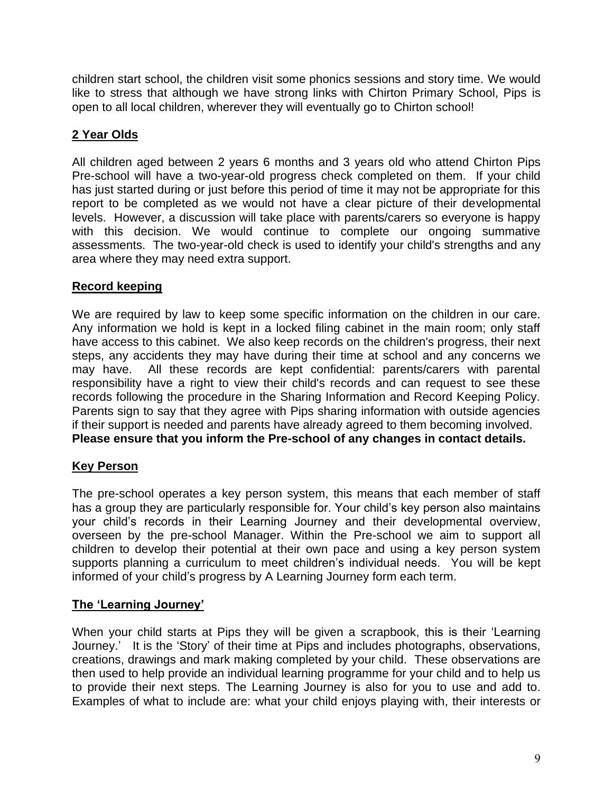children start school, the children visit some phonics sessions and story time. We would like to stress that although we have strong links with Chirton Primary School, Pips is open to all local children, wherever they will eventually go to Chirton school!

# **2 Year Olds**

All children aged between 2 years 6 months and 3 years old who attend Chirton Pips Pre-school will have a two-year-old progress check completed on them. If your child has just started during or just before this period of time it may not be appropriate for this report to be completed as we would not have a clear picture of their developmental levels. However, a discussion will take place with parents/carers so everyone is happy with this decision. We would continue to complete our ongoing summative assessments. The two-year-old check is used to identify your child's strengths and any area where they may need extra support.

# **Record keeping**

We are required by law to keep some specific information on the children in our care. Any information we hold is kept in a locked filing cabinet in the main room; only staff have access to this cabinet. We also keep records on the children's progress, their next steps, any accidents they may have during their time at school and any concerns we may have. All these records are kept confidential: parents/carers with parental responsibility have a right to view their child's records and can request to see these records following the procedure in the Sharing Information and Record Keeping Policy. Parents sign to say that they agree with Pips sharing information with outside agencies if their support is needed and parents have already agreed to them becoming involved. **Please ensure that you inform the Pre-school of any changes in contact details.**

# **Key Person**

The pre-school operates a key person system, this means that each member of staff has a group they are particularly responsible for. Your child's key person also maintains your child's records in their Learning Journey and their developmental overview, overseen by the pre-school Manager. Within the Pre-school we aim to support all children to develop their potential at their own pace and using a key person system supports planning a curriculum to meet children's individual needs. You will be kept informed of your child's progress by A Learning Journey form each term.

# **The 'Learning Journey'**

When your child starts at Pips they will be given a scrapbook, this is their 'Learning Journey.' It is the 'Story' of their time at Pips and includes photographs, observations, creations, drawings and mark making completed by your child. These observations are then used to help provide an individual learning programme for your child and to help us to provide their next steps. The Learning Journey is also for you to use and add to. Examples of what to include are: what your child enjoys playing with, their interests or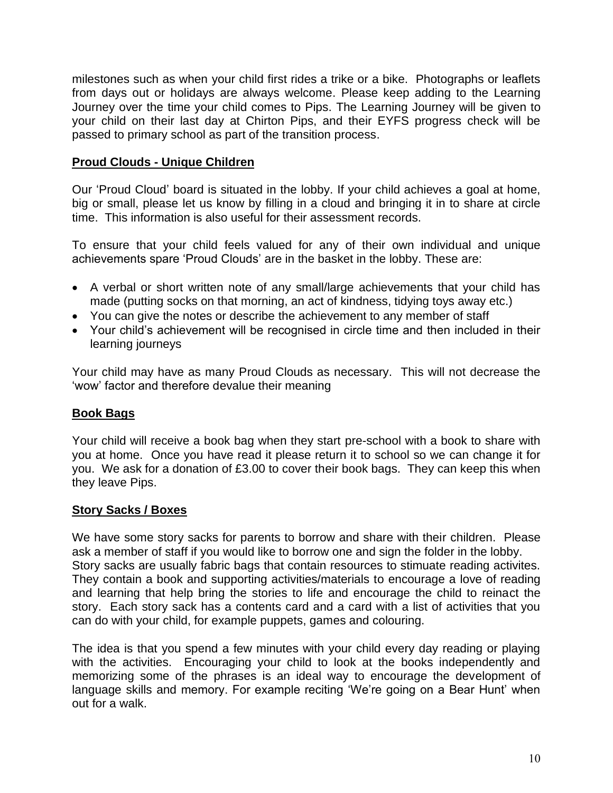milestones such as when your child first rides a trike or a bike. Photographs or leaflets from days out or holidays are always welcome. Please keep adding to the Learning Journey over the time your child comes to Pips. The Learning Journey will be given to your child on their last day at Chirton Pips, and their EYFS progress check will be passed to primary school as part of the transition process.

# **Proud Clouds - Unique Children**

Our 'Proud Cloud' board is situated in the lobby. If your child achieves a goal at home, big or small, please let us know by filling in a cloud and bringing it in to share at circle time. This information is also useful for their assessment records.

To ensure that your child feels valued for any of their own individual and unique achievements spare 'Proud Clouds' are in the basket in the lobby. These are:

- A verbal or short written note of any small/large achievements that your child has made (putting socks on that morning, an act of kindness, tidying toys away etc.)
- You can give the notes or describe the achievement to any member of staff
- Your child's achievement will be recognised in circle time and then included in their learning journeys

Your child may have as many Proud Clouds as necessary. This will not decrease the 'wow' factor and therefore devalue their meaning

### **Book Bags**

Your child will receive a book bag when they start pre-school with a book to share with you at home. Once you have read it please return it to school so we can change it for you. We ask for a donation of £3.00 to cover their book bags. They can keep this when they leave Pips.

### **Story Sacks / Boxes**

We have some story sacks for parents to borrow and share with their children. Please ask a member of staff if you would like to borrow one and sign the folder in the lobby. Story sacks are usually fabric bags that contain resources to stimuate reading activites. They contain a book and supporting activities/materials to encourage a love of reading and learning that help bring the stories to life and encourage the child to reinact the story. Each story sack has a contents card and a card with a list of activities that you can do with your child, for example puppets, games and colouring.

The idea is that you spend a few minutes with your child every day reading or playing with the activities. Encouraging your child to look at the books independently and memorizing some of the phrases is an ideal way to encourage the development of language skills and memory. For example reciting 'We're going on a Bear Hunt' when out for a walk.